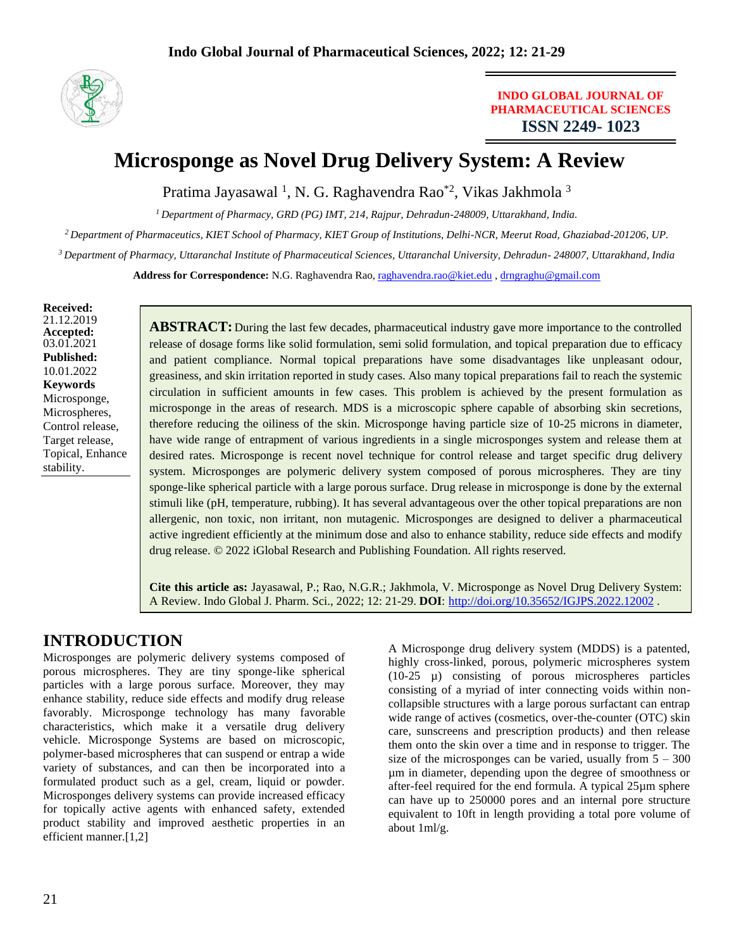

### **INDO GLOBAL JOURNAL OF PHARMACEUTICAL SCIENCES ISSN 2249- 1023**

# **Microsponge as Novel Drug Delivery System: A Review**

Pratima Jayasawal<sup>1</sup>, N. G. Raghavendra Rao<sup>\*2</sup>, Vikas Jakhmola<sup>3</sup>

*<sup>1</sup>Department of Pharmacy, GRD (PG) IMT, 214, Rajpur, Dehradun-248009, Uttarakhand, India.*

*<sup>2</sup>Department of Pharmaceutics, KIET School of Pharmacy, KIET Group of Institutions, Delhi-NCR, Meerut Road, Ghaziabad-201206, UP.*

*<sup>3</sup>Department of Pharmacy, Uttaranchal Institute of Pharmaceutical Sciences, Uttaranchal University, Dehradun- 248007, Uttarakhand, India*

**Address for Correspondence:** N.G. Raghavendra Rao, [raghavendra.rao@kiet.edu](mailto:raghavendra.rao@kiet.edu) [, drngraghu@gmail.com](mailto:drngraghu@gmail.com)

**Received:** 21.12.2019 **Accepted:**  03.01.2021 **Published:** 10.01.2022 **Keywords** Microsponge, Microspheres, Control release, Target release, Topical, Enhance stability.

**ABSTRACT:** During the last few decades, pharmaceutical industry gave more importance to the controlled release of dosage forms like solid formulation, semi solid formulation, and topical preparation due to efficacy and patient compliance. Normal topical preparations have some disadvantages like unpleasant odour, greasiness, and skin irritation reported in study cases. Also many topical preparations fail to reach the systemic circulation in sufficient amounts in few cases. This problem is achieved by the present formulation as microsponge in the areas of research. MDS is a microscopic sphere capable of absorbing skin secretions, therefore reducing the oiliness of the skin. Microsponge having particle size of 10-25 microns in diameter, have wide range of entrapment of various ingredients in a single microsponges system and release them at desired rates. Microsponge is recent novel technique for control release and target specific drug delivery system. Microsponges are polymeric delivery system composed of porous microspheres. They are tiny sponge-like spherical particle with a large porous surface. Drug release in microsponge is done by the external stimuli like (pH, temperature, rubbing). It has several advantageous over the other topical preparations are non allergenic, non toxic, non irritant, non mutagenic. Microsponges are designed to deliver a pharmaceutical active ingredient efficiently at the minimum dose and also to enhance stability, reduce side effects and modify drug release. © 2022 iGlobal Research and Publishing Foundation. All rights reserved.

**Cite this article as:** Jayasawal, P.; Rao, N.G.R.; Jakhmola, V. Microsponge as Novel Drug Delivery System: A Review. Indo Global J. Pharm. Sci., 2022; 12: 21-29. **DOI**: <http://doi.org/10.35652/IGJPS.2022.12002> .

## **INTRODUCTION**

Microsponges are polymeric delivery systems composed of porous microspheres. They are tiny sponge-like spherical particles with a large porous surface. Moreover, they may enhance stability, reduce side effects and modify drug release favorably. Microsponge technology has many favorable characteristics, which make it a versatile drug delivery vehicle. Microsponge Systems are based on microscopic, polymer-based microspheres that can suspend or entrap a wide variety of substances, and can then be incorporated into a formulated product such as a gel, cream, liquid or powder. Microsponges delivery systems can provide increased efficacy for topically active agents with enhanced safety, extended product stability and improved aesthetic properties in an efficient manner.[1,2]

A Microsponge drug delivery system (MDDS) is a patented, highly cross-linked, porous, polymeric microspheres system (10-25 µ) consisting of porous microspheres particles consisting of a myriad of inter connecting voids within noncollapsible structures with a large porous surfactant can entrap wide range of actives (cosmetics, over-the-counter (OTC) skin care, sunscreens and prescription products) and then release them onto the skin over a time and in response to trigger. The size of the microsponges can be varied, usually from  $5 - 300$ µm in diameter, depending upon the degree of smoothness or after-feel required for the end formula. A typical 25µm sphere can have up to 250000 pores and an internal pore structure equivalent to 10ft in length providing a total pore volume of about 1ml/g.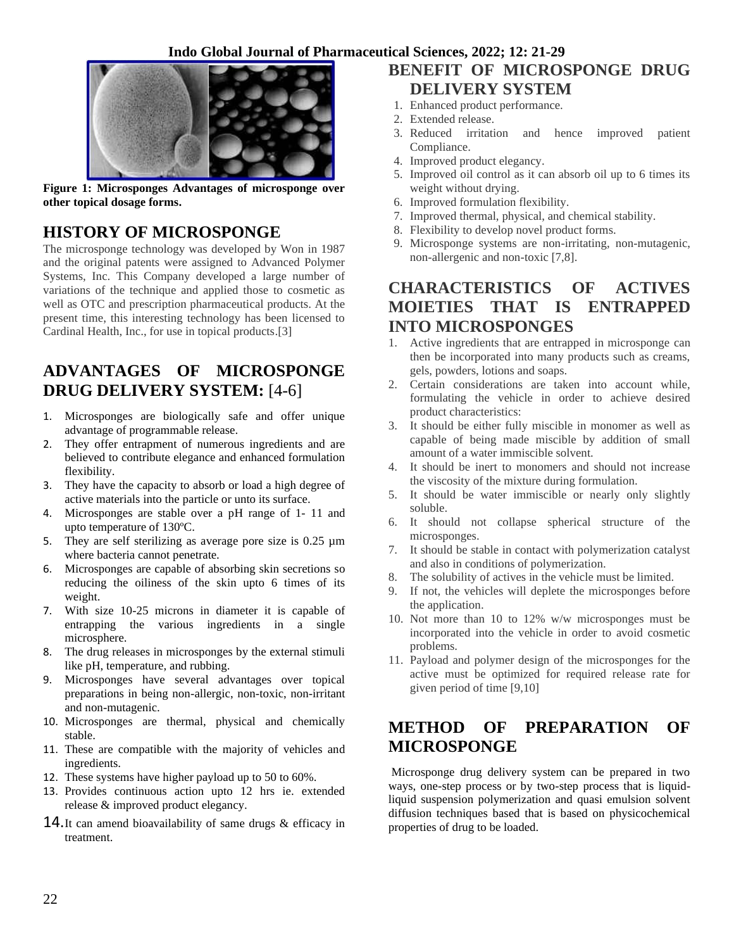

**Figure 1: Microsponges Advantages of microsponge over other topical dosage forms.**

## **HISTORY OF MICROSPONGE**

The microsponge technology was developed by Won in 1987 and the original patents were assigned to Advanced Polymer Systems, Inc. This Company developed a large number of variations of the technique and applied those to cosmetic as well as OTC and prescription pharmaceutical products. At the present time, this interesting technology has been licensed to Cardinal Health, Inc., for use in topical products.[3]

## **ADVANTAGES OF MICROSPONGE DRUG DELIVERY SYSTEM:** [4-6]

- 1. Microsponges are biologically safe and offer unique advantage of programmable release.
- 2. They offer entrapment of numerous ingredients and are believed to contribute elegance and enhanced formulation flexibility.
- 3. They have the capacity to absorb or load a high degree of active materials into the particle or unto its surface.
- 4. Microsponges are stable over a pH range of 1- 11 and upto temperature of 130ºC.
- 5. They are self sterilizing as average pore size is  $0.25 \mu m$ where bacteria cannot penetrate.
- 6. Microsponges are capable of absorbing skin secretions so reducing the oiliness of the skin upto 6 times of its weight.
- 7. With size 10-25 microns in diameter it is capable of entrapping the various ingredients in a single microsphere.
- 8. The drug releases in microsponges by the external stimuli like pH, temperature, and rubbing.
- 9. Microsponges have several advantages over topical preparations in being non-allergic, non-toxic, non-irritant and non-mutagenic.
- 10. Microsponges are thermal, physical and chemically stable.
- 11. These are compatible with the majority of vehicles and ingredients.
- 12. These systems have higher payload up to 50 to 60%.
- 13. Provides continuous action upto 12 hrs ie. extended release & improved product elegancy.
- **14.**It can amend bioavailability of same drugs & efficacy in treatment.

## **BENEFIT OF MICROSPONGE DRUG DELIVERY SYSTEM**

- 1. Enhanced product performance.
- 2. Extended release.
- 3. Reduced irritation and hence improved patient Compliance.
- 4. Improved product elegancy.
- 5. Improved oil control as it can absorb oil up to 6 times its weight without drying.
- 6. Improved formulation flexibility.
- 7. Improved thermal, physical, and chemical stability.
- 8. Flexibility to develop novel product forms.
- 9. Microsponge systems are non-irritating, non-mutagenic, non-allergenic and non-toxic [7,8].

## **CHARACTERISTICS OF ACTIVES MOIETIES THAT IS ENTRAPPED INTO MICROSPONGES**

- 1. Active ingredients that are entrapped in microsponge can then be incorporated into many products such as creams, gels, powders, lotions and soaps.
- 2. Certain considerations are taken into account while, formulating the vehicle in order to achieve desired product characteristics:
- 3. It should be either fully miscible in monomer as well as capable of being made miscible by addition of small amount of a water immiscible solvent.
- 4. It should be inert to monomers and should not increase the viscosity of the mixture during formulation.
- 5. It should be water immiscible or nearly only slightly soluble.
- 6. It should not collapse spherical structure of the microsponges.
- 7. It should be stable in contact with polymerization catalyst and also in conditions of polymerization.
- 8. The solubility of actives in the vehicle must be limited.
- 9. If not, the vehicles will deplete the microsponges before the application.
- 10. Not more than 10 to 12% w/w microsponges must be incorporated into the vehicle in order to avoid cosmetic problems.
- 11. Payload and polymer design of the microsponges for the active must be optimized for required release rate for given period of time [9,10]

## **METHOD OF PREPARATION OF MICROSPONGE**

Microsponge drug delivery system can be prepared in two ways, one-step process or by two-step process that is liquidliquid suspension polymerization and quasi emulsion solvent diffusion techniques based that is based on physicochemical properties of drug to be loaded.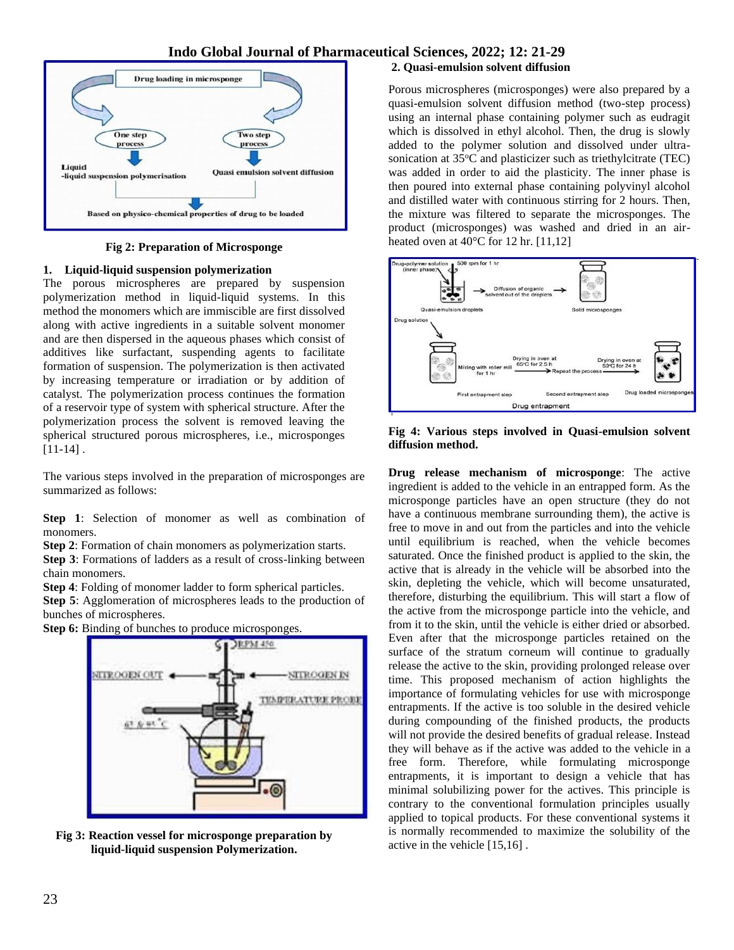

**Fig 2: Preparation of Microsponge**

#### **1. Liquid-liquid suspension polymerization**

The porous microspheres are prepared by suspension polymerization method in liquid-liquid systems. In this method the monomers which are immiscible are first dissolved along with active ingredients in a suitable solvent monomer and are then dispersed in the aqueous phases which consist of additives like surfactant, suspending agents to facilitate formation of suspension. The polymerization is then activated by increasing temperature or irradiation or by addition of catalyst. The polymerization process continues the formation of a reservoir type of system with spherical structure. After the polymerization process the solvent is removed leaving the spherical structured porous microspheres, i.e., microsponges  $[11-14]$ .

The various steps involved in the preparation of microsponges are summarized as follows:

**Step 1**: Selection of monomer as well as combination of monomers.

**Step 2**: Formation of chain monomers as polymerization starts.

**Step 3**: Formations of ladders as a result of cross-linking between chain monomers.

**Step 4**: Folding of monomer ladder to form spherical particles.

**Step 5**: Agglomeration of microspheres leads to the production of bunches of microspheres.

**Step 6:** Binding of bunches to produce microsponges.



**Fig 3: Reaction vessel for microsponge preparation by liquid-liquid suspension Polymerization.**

#### **2. Quasi-emulsion solvent diffusion**

Porous microspheres (microsponges) were also prepared by a quasi-emulsion solvent diffusion method (two-step process) using an internal phase containing polymer such as eudragit which is dissolved in ethyl alcohol. Then, the drug is slowly added to the polymer solution and dissolved under ultrasonication at 35°C and plasticizer such as triethylcitrate (TEC) was added in order to aid the plasticity. The inner phase is then poured into external phase containing polyvinyl alcohol and distilled water with continuous stirring for 2 hours. Then, the mixture was filtered to separate the microsponges. The product (microsponges) was washed and dried in an airheated oven at 40°C for 12 hr. [11,12]



**Fig 4: Various steps involved in Quasi-emulsion solvent diffusion method.**

**Drug release mechanism of microsponge**: The active ingredient is added to the vehicle in an entrapped form. As the microsponge particles have an open structure (they do not have a continuous membrane surrounding them), the active is free to move in and out from the particles and into the vehicle until equilibrium is reached, when the vehicle becomes saturated. Once the finished product is applied to the skin, the active that is already in the vehicle will be absorbed into the skin, depleting the vehicle, which will become unsaturated, therefore, disturbing the equilibrium. This will start a flow of the active from the microsponge particle into the vehicle, and from it to the skin, until the vehicle is either dried or absorbed. Even after that the microsponge particles retained on the surface of the stratum corneum will continue to gradually release the active to the skin, providing prolonged release over time. This proposed mechanism of action highlights the importance of formulating vehicles for use with microsponge entrapments. If the active is too soluble in the desired vehicle during compounding of the finished products, the products will not provide the desired benefits of gradual release. Instead they will behave as if the active was added to the vehicle in a free form. Therefore, while formulating microsponge entrapments, it is important to design a vehicle that has minimal solubilizing power for the actives. This principle is contrary to the conventional formulation principles usually applied to topical products. For these conventional systems it is normally recommended to maximize the solubility of the active in the vehicle [15,16] .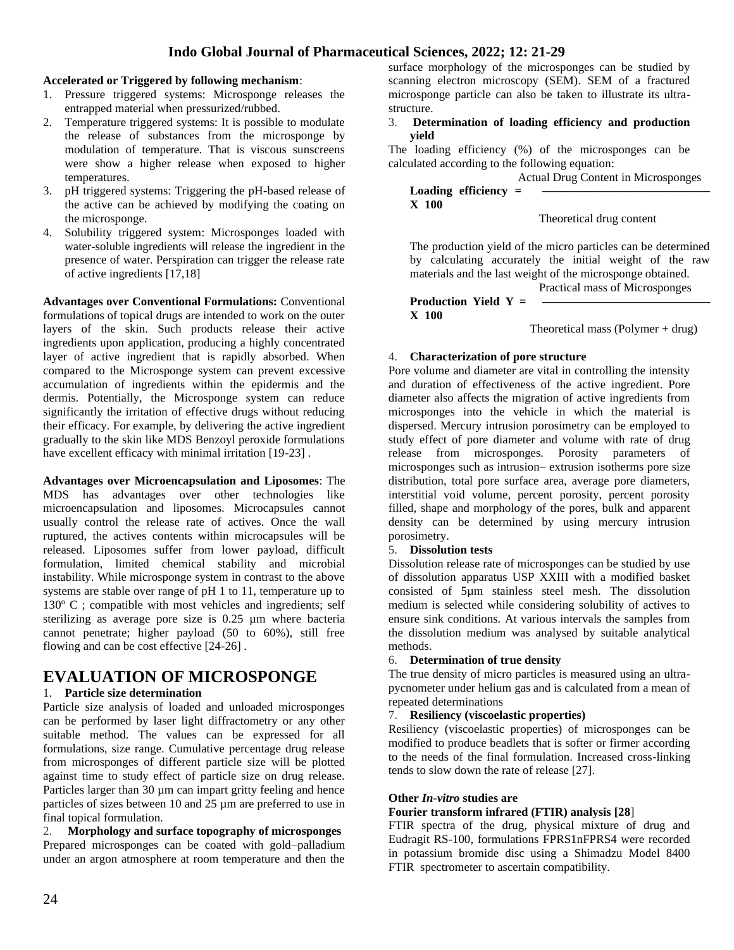#### **Accelerated or Triggered by following mechanism**:

- 1. Pressure triggered systems: Microsponge releases the entrapped material when pressurized/rubbed.
- 2. Temperature triggered systems: It is possible to modulate the release of substances from the microsponge by modulation of temperature. That is viscous sunscreens were show a higher release when exposed to higher temperatures.
- 3. pH triggered systems: Triggering the pH-based release of the active can be achieved by modifying the coating on the microsponge.
- 4. Solubility triggered system: Microsponges loaded with water-soluble ingredients will release the ingredient in the presence of water. Perspiration can trigger the release rate of active ingredients [17,18]

**Advantages over Conventional Formulations:** Conventional formulations of topical drugs are intended to work on the outer layers of the skin. Such products release their active ingredients upon application, producing a highly concentrated layer of active ingredient that is rapidly absorbed. When compared to the Microsponge system can prevent excessive accumulation of ingredients within the epidermis and the dermis. Potentially, the Microsponge system can reduce significantly the irritation of effective drugs without reducing their efficacy. For example, by delivering the active ingredient gradually to the skin like MDS Benzoyl peroxide formulations have excellent efficacy with minimal irritation [19-23].

**Advantages over Microencapsulation and Liposomes**: The MDS has advantages over other technologies like microencapsulation and liposomes. Microcapsules cannot usually control the release rate of actives. Once the wall ruptured, the actives contents within microcapsules will be released. Liposomes suffer from lower payload, difficult formulation, limited chemical stability and microbial instability. While microsponge system in contrast to the above systems are stable over range of pH 1 to 11, temperature up to  $130^{\circ}$  C; compatible with most vehicles and ingredients; self sterilizing as average pore size is 0.25 µm where bacteria cannot penetrate; higher payload (50 to 60%), still free flowing and can be cost effective [24-26] .

### **EVALUATION OF MICROSPONGE**

#### 1. **Particle size determination**

Particle size analysis of loaded and unloaded microsponges can be performed by laser light diffractometry or any other suitable method. The values can be expressed for all formulations, size range. Cumulative percentage drug release from microsponges of different particle size will be plotted against time to study effect of particle size on drug release. Particles larger than 30  $\mu$ m can impart gritty feeling and hence particles of sizes between 10 and 25 µm are preferred to use in final topical formulation.

2. **Morphology and surface topography of microsponges** Prepared microsponges can be coated with gold–palladium under an argon atmosphere at room temperature and then the surface morphology of the microsponges can be studied by scanning electron microscopy (SEM). SEM of a fractured microsponge particle can also be taken to illustrate its ultrastructure.

#### 3. **Determination of loading efficiency and production yield**

The loading efficiency (%) of the microsponges can be calculated according to the following equation:

|         |                        | Actual Drug Content in Microsponges |
|---------|------------------------|-------------------------------------|
|         | Loading efficiency $=$ |                                     |
| $X$ 100 |                        |                                     |

Theoretical drug content

The production yield of the micro particles can be determined by calculating accurately the initial weight of the raw materials and the last weight of the microsponge obtained.

Practical mass of Microsponges

**Production Yield Y = X 100**

Theoretical mass (Polymer + drug)

#### 4. **Characterization of pore structure**

Pore volume and diameter are vital in controlling the intensity and duration of effectiveness of the active ingredient. Pore diameter also affects the migration of active ingredients from microsponges into the vehicle in which the material is dispersed. Mercury intrusion porosimetry can be employed to study effect of pore diameter and volume with rate of drug release from microsponges. Porosity parameters of microsponges such as intrusion– extrusion isotherms pore size distribution, total pore surface area, average pore diameters, interstitial void volume, percent porosity, percent porosity filled, shape and morphology of the pores, bulk and apparent density can be determined by using mercury intrusion porosimetry.

#### 5. **Dissolution tests**

Dissolution release rate of microsponges can be studied by use of dissolution apparatus USP XXIII with a modified basket consisted of 5µm stainless steel mesh. The dissolution medium is selected while considering solubility of actives to ensure sink conditions. At various intervals the samples from the dissolution medium was analysed by suitable analytical methods.

#### 6. **Determination of true density**

The true density of micro particles is measured using an ultrapycnometer under helium gas and is calculated from a mean of repeated determinations

#### 7. **Resiliency (viscoelastic properties)**

Resiliency (viscoelastic properties) of microsponges can be modified to produce beadlets that is softer or firmer according to the needs of the final formulation. Increased cross-linking tends to slow down the rate of release [27].

#### **Other** *In-vitro* **studies are**

#### **Fourier transform infrared (FTIR) analysis [28**]

FTIR spectra of the drug, physical mixture of drug and Eudragit RS-100, formulations FPRS1nFPRS4 were recorded in potassium bromide disc using a Shimadzu Model 8400 FTIR spectrometer to ascertain compatibility.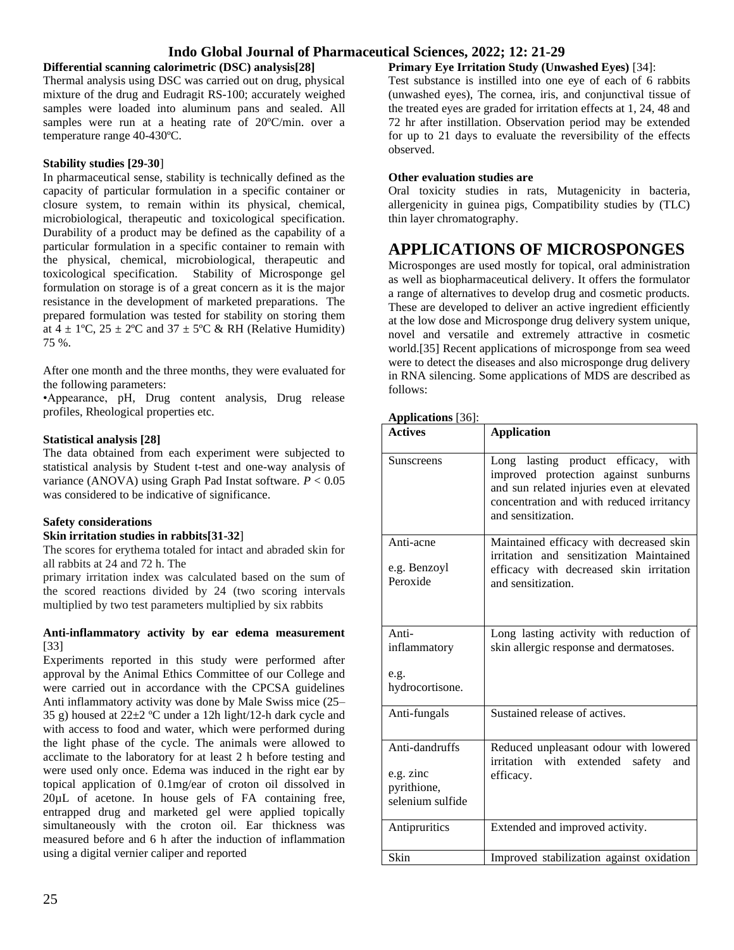#### **Differential scanning calorimetric (DSC) analysis[28]**

Thermal analysis using DSC was carried out on drug, physical mixture of the drug and Eudragit RS-100; accurately weighed samples were loaded into aluminum pans and sealed. All samples were run at a heating rate of 20ºC/min. over a temperature range 40-430ºC.

#### **Stability studies [29-30**]

In pharmaceutical sense, stability is technically defined as the capacity of particular formulation in a specific container or closure system, to remain within its physical, chemical, microbiological, therapeutic and toxicological specification. Durability of a product may be defined as the capability of a particular formulation in a specific container to remain with the physical, chemical, microbiological, therapeutic and toxicological specification. Stability of Microsponge gel formulation on storage is of a great concern as it is the major resistance in the development of marketed preparations. The prepared formulation was tested for stability on storing them at  $4 \pm 1$ °C,  $25 \pm 2$ °C and  $37 \pm 5$ °C & RH (Relative Humidity) 75 %.

After one month and the three months, they were evaluated for the following parameters:

•Appearance, pH, Drug content analysis, Drug release profiles, Rheological properties etc.

#### **Statistical analysis [28]**

The data obtained from each experiment were subjected to statistical analysis by Student t-test and one-way analysis of variance (ANOVA) using Graph Pad Instat software. *P* < 0.05 was considered to be indicative of significance.

#### **Safety considerations**

#### **Skin irritation studies in rabbits[31-32**]

The scores for erythema totaled for intact and abraded skin for all rabbits at 24 and 72 h. The

primary irritation index was calculated based on the sum of the scored reactions divided by 24 (two scoring intervals multiplied by two test parameters multiplied by six rabbits

#### **Anti-inflammatory activity by ear edema measurement** [33]

Experiments reported in this study were performed after approval by the Animal Ethics Committee of our College and were carried out in accordance with the CPCSA guidelines Anti inflammatory activity was done by Male Swiss mice (25– 35 g) housed at  $22\pm2$  °C under a 12h light/12-h dark cycle and with access to food and water, which were performed during the light phase of the cycle. The animals were allowed to acclimate to the laboratory for at least 2 h before testing and were used only once. Edema was induced in the right ear by topical application of 0.1mg/ear of croton oil dissolved in 20µL of acetone. In house gels of FA containing free, entrapped drug and marketed gel were applied topically simultaneously with the croton oil. Ear thickness was measured before and 6 h after the induction of inflammation using a digital vernier caliper and reported

**Primary Eye Irritation Study (Unwashed Eyes)** [34]:

Test substance is instilled into one eye of each of 6 rabbits (unwashed eyes), The cornea, iris, and conjunctival tissue of the treated eyes are graded for irritation effects at 1, 24, 48 and 72 hr after instillation. Observation period may be extended for up to 21 days to evaluate the reversibility of the effects observed.

#### **Other evaluation studies are**

Oral toxicity studies in rats, Mutagenicity in bacteria, allergenicity in guinea pigs, Compatibility studies by (TLC) thin layer chromatography.

### **APPLICATIONS OF MICROSPONGES**

Microsponges are used mostly for topical, oral administration as well as biopharmaceutical delivery. It offers the formulator a range of alternatives to develop drug and cosmetic products. These are developed to deliver an active ingredient efficiently at the low dose and Microsponge drug delivery system unique, novel and versatile and extremely attractive in cosmetic world.[35] Recent applications of microsponge from sea weed were to detect the diseases and also microsponge drug delivery in RNA silencing. Some applications of MDS are described as follows:

### **Applications** [36]:

| дррисанона [90].                                               |                                                                                                                                                                                            |  |  |  |
|----------------------------------------------------------------|--------------------------------------------------------------------------------------------------------------------------------------------------------------------------------------------|--|--|--|
| <b>Actives</b>                                                 | <b>Application</b>                                                                                                                                                                         |  |  |  |
| Sunscreens                                                     | Long lasting product efficacy, with<br>improved protection against sunburns<br>and sun related injuries even at elevated<br>concentration and with reduced irritancy<br>and sensitization. |  |  |  |
| Anti-acne<br>e.g. Benzoyl<br>Peroxide                          | Maintained efficacy with decreased skin<br>irritation and sensitization Maintained<br>efficacy with decreased skin irritation<br>and sensitization.                                        |  |  |  |
| Anti-<br>inflammatory<br>e.g.<br>hydrocortisone.               | Long lasting activity with reduction of<br>skin allergic response and dermatoses.                                                                                                          |  |  |  |
| Anti-fungals                                                   | Sustained release of actives.                                                                                                                                                              |  |  |  |
| Anti-dandruffs<br>e.g. zinc<br>pyrithione,<br>selenium sulfide | Reduced unpleasant odour with lowered<br>irritation with extended<br>safety<br>and<br>efficacy.                                                                                            |  |  |  |
| Antipruritics                                                  | Extended and improved activity.                                                                                                                                                            |  |  |  |
| Skin                                                           | Improved stabilization against oxidation                                                                                                                                                   |  |  |  |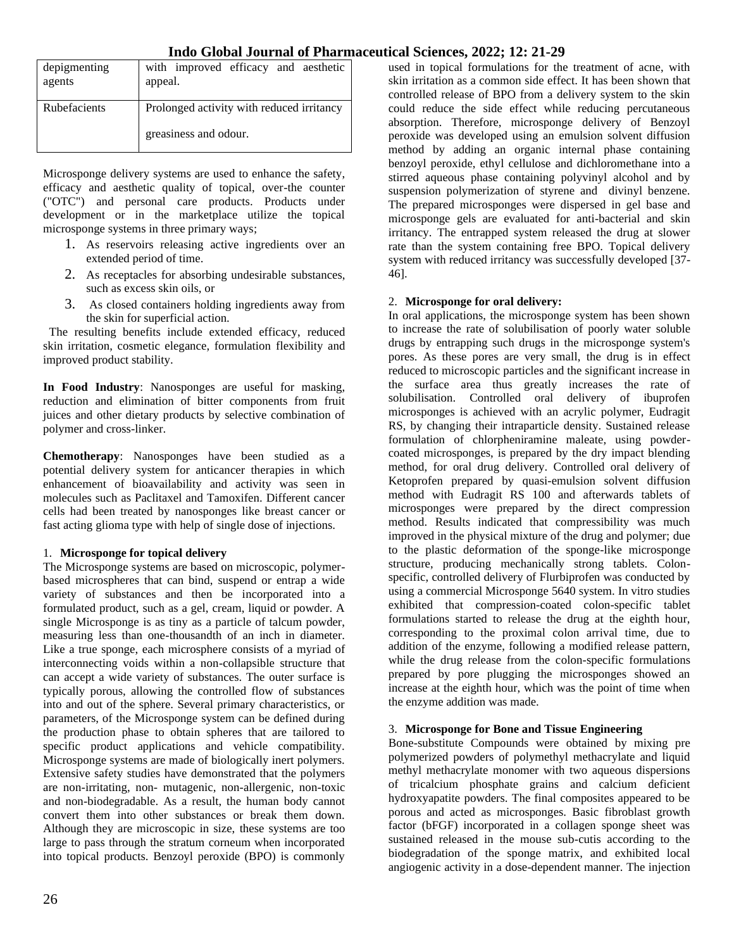| depigmenting<br>agents | with improved efficacy and aesthetic<br>appeal. |  |
|------------------------|-------------------------------------------------|--|
| Rubefacients           | Prolonged activity with reduced irritancy       |  |
|                        | greasiness and odour.                           |  |

Microsponge delivery systems are used to enhance the safety, efficacy and aesthetic quality of topical, over-the counter ("OTC") and personal care products. Products under development or in the marketplace utilize the topical microsponge systems in three primary ways;

- 1. As reservoirs releasing active ingredients over an extended period of time.
- 2. As receptacles for absorbing undesirable substances, such as excess skin oils, or
- 3. As closed containers holding ingredients away from the skin for superficial action.

 The resulting benefits include extended efficacy, reduced skin irritation, cosmetic elegance, formulation flexibility and improved product stability.

**In Food Industry**: Nanosponges are useful for masking, reduction and elimination of bitter components from fruit juices and other dietary products by selective combination of polymer and cross-linker.

**Chemotherapy**: Nanosponges have been studied as a potential delivery system for anticancer therapies in which enhancement of bioavailability and activity was seen in molecules such as Paclitaxel and Tamoxifen. Different cancer cells had been treated by nanosponges like breast cancer or fast acting glioma type with help of single dose of injections.

#### 1. **Microsponge for topical delivery**

The Microsponge systems are based on microscopic, polymerbased microspheres that can bind, suspend or entrap a wide variety of substances and then be incorporated into a formulated product, such as a gel, cream, liquid or powder. A single Microsponge is as tiny as a particle of talcum powder, measuring less than one-thousandth of an inch in diameter. Like a true sponge, each microsphere consists of a myriad of interconnecting voids within a non-collapsible structure that can accept a wide variety of substances. The outer surface is typically porous, allowing the controlled flow of substances into and out of the sphere. Several primary characteristics, or parameters, of the Microsponge system can be defined during the production phase to obtain spheres that are tailored to specific product applications and vehicle compatibility. Microsponge systems are made of biologically inert polymers. Extensive safety studies have demonstrated that the polymers are non-irritating, non- mutagenic, non-allergenic, non-toxic and non-biodegradable. As a result, the human body cannot convert them into other substances or break them down. Although they are microscopic in size, these systems are too large to pass through the stratum corneum when incorporated into topical products. Benzoyl peroxide (BPO) is commonly

used in topical formulations for the treatment of acne, with skin irritation as a common side effect. It has been shown that controlled release of BPO from a delivery system to the skin could reduce the side effect while reducing percutaneous absorption. Therefore, microsponge delivery of Benzoyl peroxide was developed using an emulsion solvent diffusion method by adding an organic internal phase containing benzoyl peroxide, ethyl cellulose and dichloromethane into a stirred aqueous phase containing polyvinyl alcohol and by suspension polymerization of styrene and divinyl benzene. The prepared microsponges were dispersed in gel base and microsponge gels are evaluated for anti-bacterial and skin irritancy. The entrapped system released the drug at slower rate than the system containing free BPO. Topical delivery system with reduced irritancy was successfully developed [37- 46].

#### 2. **Microsponge for oral delivery:**

In oral applications, the microsponge system has been shown to increase the rate of solubilisation of poorly water soluble drugs by entrapping such drugs in the microsponge system's pores. As these pores are very small, the drug is in effect reduced to microscopic particles and the significant increase in the surface area thus greatly increases the rate of solubilisation. Controlled oral delivery of ibuprofen microsponges is achieved with an acrylic polymer, Eudragit RS, by changing their intraparticle density. Sustained release formulation of chlorpheniramine maleate, using powdercoated microsponges, is prepared by the dry impact blending method, for oral drug delivery. Controlled oral delivery of Ketoprofen prepared by quasi-emulsion solvent diffusion method with Eudragit RS 100 and afterwards tablets of microsponges were prepared by the direct compression method. Results indicated that compressibility was much improved in the physical mixture of the drug and polymer; due to the plastic deformation of the sponge-like microsponge structure, producing mechanically strong tablets. Colonspecific, controlled delivery of Flurbiprofen was conducted by using a commercial Microsponge 5640 system. In vitro studies exhibited that compression-coated colon-specific tablet formulations started to release the drug at the eighth hour, corresponding to the proximal colon arrival time, due to addition of the enzyme, following a modified release pattern, while the drug release from the colon-specific formulations prepared by pore plugging the microsponges showed an increase at the eighth hour, which was the point of time when the enzyme addition was made.

#### 3. **Microsponge for Bone and Tissue Engineering**

Bone-substitute Compounds were obtained by mixing pre polymerized powders of polymethyl methacrylate and liquid methyl methacrylate monomer with two aqueous dispersions of tricalcium phosphate grains and calcium deficient hydroxyapatite powders. The final composites appeared to be porous and acted as microsponges. Basic fibroblast growth factor (bFGF) incorporated in a collagen sponge sheet was sustained released in the mouse sub-cutis according to the biodegradation of the sponge matrix, and exhibited local angiogenic activity in a dose-dependent manner. The injection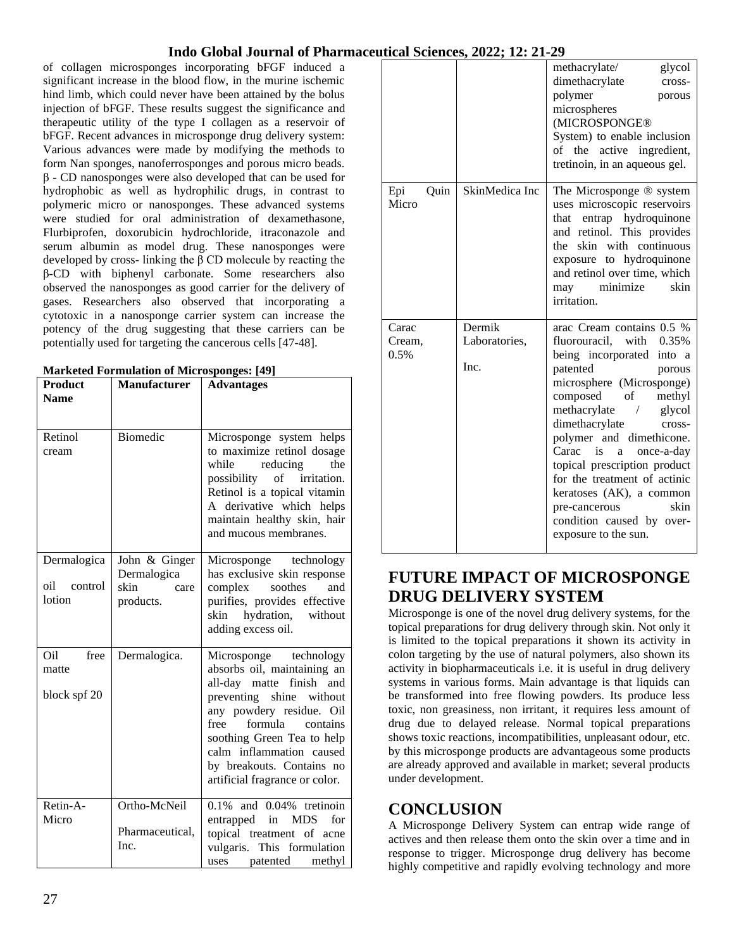of collagen microsponges incorporating bFGF induced a significant increase in the blood flow, in the murine ischemic hind limb, which could never have been attained by the bolus injection of bFGF. These results suggest the significance and therapeutic utility of the type I collagen as a reservoir of bFGF. Recent advances in microsponge drug delivery system: Various advances were made by modifying the methods to form Nan sponges, nanoferrosponges and porous micro beads. β - CD nanosponges were also developed that can be used for hydrophobic as well as hydrophilic drugs, in contrast to polymeric micro or nanosponges. These advanced systems were studied for oral administration of dexamethasone, Flurbiprofen, doxorubicin hydrochloride, itraconazole and serum albumin as model drug. These nanosponges were developed by cross- linking the β CD molecule by reacting the β-CD with biphenyl carbonate. Some researchers also observed the nanosponges as good carrier for the delivery of gases. Researchers also observed that incorporating a cytotoxic in a nanosponge carrier system can increase the potency of the drug suggesting that these carriers can be potentially used for targeting the cancerous cells [47-48].

| <b>Product</b><br><b>Name</b>           | <b>Manufacturer</b>                                       | <b>Advantages</b>                                                                                                                                                                                                                                                                                             |
|-----------------------------------------|-----------------------------------------------------------|---------------------------------------------------------------------------------------------------------------------------------------------------------------------------------------------------------------------------------------------------------------------------------------------------------------|
| Retinol<br>cream                        | <b>Biomedic</b>                                           | Microsponge system helps<br>to maximize retinol dosage<br>while<br>reducing<br>the<br>possibility of irritation.<br>Retinol is a topical vitamin<br>A derivative which helps<br>maintain healthy skin, hair<br>and mucous membranes.                                                                          |
| Dermalogica<br>oil<br>control<br>lotion | John & Ginger<br>Dermalogica<br>skin<br>care<br>products. | Microsponge technology<br>has exclusive skin response<br>soothes<br>and<br>complex<br>purifies, provides effective<br>hydration, without<br>skin<br>adding excess oil.                                                                                                                                        |
| Oil<br>free<br>matte<br>block spf 20    | Dermalogica.                                              | Microsponge technology<br>absorbs oil, maintaining an<br>all-day matte<br>finish<br>and<br>preventing<br>shine<br>without<br>any powdery residue. Oil<br>formula<br>free<br>contains<br>soothing Green Tea to help<br>calm inflammation caused<br>by breakouts. Contains no<br>artificial fragrance or color. |
| Retin-A-<br>Micro                       | Ortho-McNeil<br>Pharmaceutical,<br>Inc.                   | $0.1\%$ and $0.04\%$ tretinoin<br><b>MDS</b><br>in<br>for<br>entrapped<br>topical treatment of acne<br>vulgaris.<br>This formulation<br>patented<br>uses<br>methyl                                                                                                                                            |

|                      |                | methacrylate/<br>glycol<br>dimethacrylate<br>cross-<br>polymer<br>porous<br>microspheres<br>(MICROSPONGE®<br>System) to enable inclusion<br>of the active ingredient,<br>tretinoin, in an aqueous gel.                                                                                                                                                                                                                      |
|----------------------|----------------|-----------------------------------------------------------------------------------------------------------------------------------------------------------------------------------------------------------------------------------------------------------------------------------------------------------------------------------------------------------------------------------------------------------------------------|
| Epi<br>Quin<br>Micro | SkinMedica Inc | The Microsponge ® system<br>uses microscopic reservoirs<br>that entrap hydroquinone<br>and retinol. This provides<br>skin with continuous<br>the<br>exposure to hydroquinone<br>and retinol over time, which<br>skin<br>minimize<br>may<br>irritation.                                                                                                                                                                      |
| Carac                | Dermik         | arac Cream contains 0.5 %                                                                                                                                                                                                                                                                                                                                                                                                   |
| Cream,               | Laboratories,  | fluorouracil, with 0.35%                                                                                                                                                                                                                                                                                                                                                                                                    |
| 0.5%                 | Inc.           | being incorporated<br>into a<br>patented<br>porous<br>microsphere (Microsponge)<br>composed<br>of<br>methyl<br>methacrylate<br>glycol<br>$\overline{ }$<br>dimethacrylate<br>cross-<br>polymer and dimethicone.<br>is<br>Carac<br>once-a-day<br>a<br>topical prescription product<br>for the treatment of actinic<br>keratoses (AK), a common<br>skin<br>pre-cancerous<br>condition caused by over-<br>exposure to the sun. |

## **FUTURE IMPACT OF MICROSPONGE DRUG DELIVERY SYSTEM**

Microsponge is one of the novel drug delivery systems, for the topical preparations for drug delivery through skin. Not only it is limited to the topical preparations it shown its activity in colon targeting by the use of natural polymers, also shown its activity in biopharmaceuticals i.e. it is useful in drug delivery systems in various forms. Main advantage is that liquids can be transformed into free flowing powders. Its produce less toxic, non greasiness, non irritant, it requires less amount of drug due to delayed release. Normal topical preparations shows toxic reactions, incompatibilities, unpleasant odour, etc. by this microsponge products are advantageous some products are already approved and available in market; several products under development.

## **CONCLUSION**

A Microsponge Delivery System can entrap wide range of actives and then release them onto the skin over a time and in response to trigger. Microsponge drug delivery has become highly competitive and rapidly evolving technology and more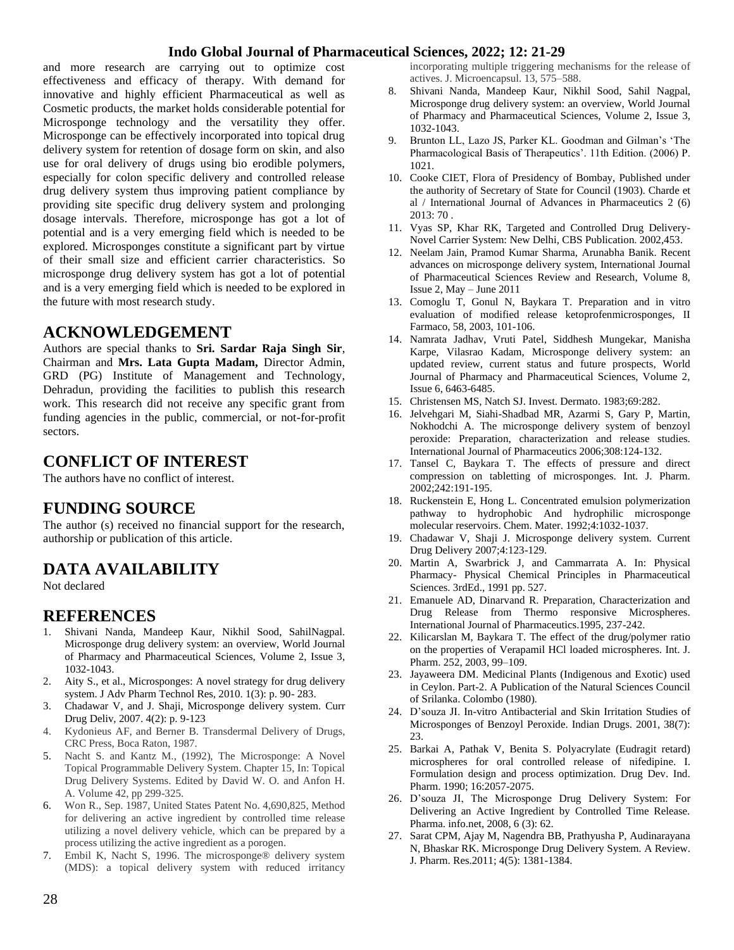and more research are carrying out to optimize cost effectiveness and efficacy of therapy. With demand for innovative and highly efficient Pharmaceutical as well as Cosmetic products, the market holds considerable potential for Microsponge technology and the versatility they offer. Microsponge can be effectively incorporated into topical drug delivery system for retention of dosage form on skin, and also use for oral delivery of drugs using bio erodible polymers, especially for colon specific delivery and controlled release drug delivery system thus improving patient compliance by providing site specific drug delivery system and prolonging dosage intervals. Therefore, microsponge has got a lot of potential and is a very emerging field which is needed to be explored. Microsponges constitute a significant part by virtue of their small size and efficient carrier characteristics. So microsponge drug delivery system has got a lot of potential and is a very emerging field which is needed to be explored in the future with most research study.

### **ACKNOWLEDGEMENT**

Authors are special thanks to **Sri. Sardar Raja Singh Sir**, Chairman and **Mrs. Lata Gupta Madam,** Director Admin, GRD (PG) Institute of Management and Technology, Dehradun, providing the facilities to publish this research work. This research did not receive any specific grant from funding agencies in the public, commercial, or not-for-profit sectors.

## **CONFLICT OF INTEREST**

The authors have no conflict of interest.

### **FUNDING SOURCE**

The author (s) received no financial support for the research, authorship or publication of this article.

## **DATA AVAILABILITY**

Not declared

### **REFERENCES**

- 1. Shivani Nanda, Mandeep Kaur, Nikhil Sood, SahilNagpal. Microsponge drug delivery system: an overview, World Journal of Pharmacy and Pharmaceutical Sciences, Volume 2, Issue 3, 1032-1043.
- 2. Aity S., et al., Microsponges: A novel strategy for drug delivery system. J Adv Pharm Technol Res, 2010. 1(3): p. 90- 283.
- 3. Chadawar V, and J. Shaji, Microsponge delivery system. Curr Drug Deliv, 2007. 4(2): p. 9-123
- 4. Kydonieus AF, and Berner B. Transdermal Delivery of Drugs, CRC Press, Boca Raton, 1987.
- 5. Nacht S. and Kantz M., (1992), The Microsponge: A Novel Topical Programmable Delivery System. Chapter 15, In: Topical Drug Delivery Systems. Edited by David W. O. and Anfon H. A. Volume 42, pp 299-325.
- 6. Won R., Sep. 1987, United States Patent No. 4,690,825, Method for delivering an active ingredient by controlled time release utilizing a novel delivery vehicle, which can be prepared by a process utilizing the active ingredient as a porogen.
- 7. Embil K, Nacht S, 1996. The microsponge® delivery system (MDS): a topical delivery system with reduced irritancy

incorporating multiple triggering mechanisms for the release of actives. J. Microencapsul. 13, 575–588.

- 8. Shivani Nanda, Mandeep Kaur, Nikhil Sood, Sahil Nagpal, Microsponge drug delivery system: an overview, World Journal of Pharmacy and Pharmaceutical Sciences, Volume 2, Issue 3, 1032-1043.
- 9. Brunton LL, Lazo JS, Parker KL. Goodman and Gilman's 'The Pharmacological Basis of Therapeutics'. 11th Edition. (2006) P. 1021.
- 10. Cooke CIET, Flora of Presidency of Bombay, Published under the authority of Secretary of State for Council (1903). Charde et al / International Journal of Advances in Pharmaceutics 2 (6) 2013: 70 .
- 11. Vyas SP, Khar RK, Targeted and Controlled Drug Delivery-Novel Carrier System: New Delhi, CBS Publication. 2002,453.
- 12. Neelam Jain, Pramod Kumar Sharma, Arunabha Banik. Recent advances on microsponge delivery system, International Journal of Pharmaceutical Sciences Review and Research, Volume 8, Issue 2, May – June 2011
- 13. Comoglu T, Gonul N, Baykara T. Preparation and in vitro evaluation of modified release ketoprofenmicrosponges, II Farmaco, 58, 2003, 101-106.
- 14. Namrata Jadhav, Vruti Patel, Siddhesh Mungekar, Manisha Karpe, Vilasrao Kadam, Microsponge delivery system: an updated review, current status and future prospects, World Journal of Pharmacy and Pharmaceutical Sciences, Volume 2, Issue 6, 6463-6485.
- 15. Christensen MS, Natch SJ. Invest. Dermato. 1983;69:282.
- 16. Jelvehgari M, Siahi-Shadbad MR, Azarmi S, Gary P, Martin, Nokhodchi A. The microsponge delivery system of benzoyl peroxide: Preparation, characterization and release studies. International Journal of Pharmaceutics 2006;308:124-132.
- 17. Tansel C, Baykara T. The effects of pressure and direct compression on tabletting of microsponges. Int. J. Pharm. 2002;242:191-195.
- 18. Ruckenstein E, Hong L. Concentrated emulsion polymerization pathway to hydrophobic And hydrophilic microsponge molecular reservoirs. Chem. Mater. 1992;4:1032-1037.
- 19. Chadawar V, Shaji J. Microsponge delivery system. Current Drug Delivery 2007;4:123-129.
- 20. Martin A, Swarbrick J, and Cammarrata A. In: Physical Pharmacy- Physical Chemical Principles in Pharmaceutical Sciences. 3rdEd., 1991 pp. 527.
- 21. Emanuele AD, Dinarvand R. Preparation, Characterization and Drug Release from Thermo responsive Microspheres. International Journal of Pharmaceutics.1995, 237-242.
- 22. Kilicarslan M, Baykara T. The effect of the drug/polymer ratio on the properties of Verapamil HCl loaded microspheres. Int. J. Pharm. 252, 2003, 99–109.
- 23. Jayaweera DM. Medicinal Plants (Indigenous and Exotic) used in Ceylon. Part-2. A Publication of the Natural Sciences Council of Srilanka. Colombo (1980).
- 24. D'souza JI. In-vitro Antibacterial and Skin Irritation Studies of Microsponges of Benzoyl Peroxide. Indian Drugs. 2001, 38(7): 23.
- 25. Barkai A, Pathak V, Benita S. Polyacrylate (Eudragit retard) microspheres for oral controlled release of nifedipine. I. Formulation design and process optimization. Drug Dev. Ind. Pharm. 1990; 16:2057-2075.
- 26. D'souza JI, The Microsponge Drug Delivery System: For Delivering an Active Ingredient by Controlled Time Release. Pharma. info.net, 2008, 6 (3): 62.
- 27. Sarat CPM, Ajay M, Nagendra BB, Prathyusha P, Audinarayana N, Bhaskar RK. Microsponge Drug Delivery System. A Review. J. Pharm. Res.2011; 4(5): 1381-1384.